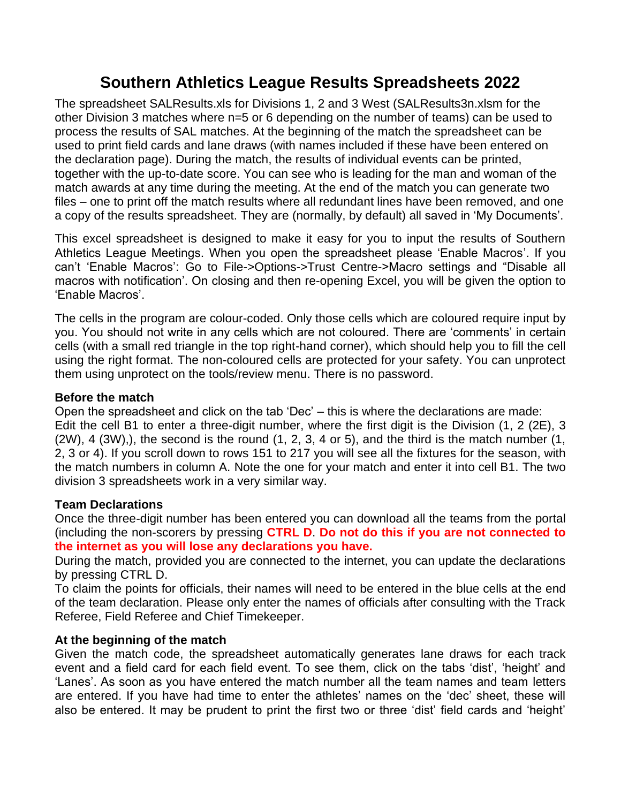# **Southern Athletics League Results Spreadsheets 2022**

The spreadsheet SALResults.xls for Divisions 1, 2 and 3 West (SALResults3n.xlsm for the other Division 3 matches where n=5 or 6 depending on the number of teams) can be used to process the results of SAL matches. At the beginning of the match the spreadsheet can be used to print field cards and lane draws (with names included if these have been entered on the declaration page). During the match, the results of individual events can be printed, together with the up-to-date score. You can see who is leading for the man and woman of the match awards at any time during the meeting. At the end of the match you can generate two files – one to print off the match results where all redundant lines have been removed, and one a copy of the results spreadsheet. They are (normally, by default) all saved in 'My Documents'.

This excel spreadsheet is designed to make it easy for you to input the results of Southern Athletics League Meetings. When you open the spreadsheet please 'Enable Macros'. If you can't 'Enable Macros': Go to File->Options->Trust Centre->Macro settings and "Disable all macros with notification'. On closing and then re-opening Excel, you will be given the option to 'Enable Macros'.

The cells in the program are colour-coded. Only those cells which are coloured require input by you. You should not write in any cells which are not coloured. There are 'comments' in certain cells (with a small red triangle in the top right-hand corner), which should help you to fill the cell using the right format. The non-coloured cells are protected for your safety. You can unprotect them using unprotect on the tools/review menu. There is no password.

# **Before the match**

Open the spreadsheet and click on the tab 'Dec' – this is where the declarations are made: Edit the cell B1 to enter a three-digit number, where the first digit is the Division (1, 2 (2E), 3 (2W), 4 (3W),), the second is the round (1, 2, 3, 4 or 5), and the third is the match number (1, 2, 3 or 4). If you scroll down to rows 151 to 217 you will see all the fixtures for the season, with the match numbers in column A. Note the one for your match and enter it into cell B1. The two division 3 spreadsheets work in a very similar way.

# **Team Declarations**

Once the three-digit number has been entered you can download all the teams from the portal (including the non-scorers by pressing **CTRL D**. **Do not do this if you are not connected to the internet as you will lose any declarations you have.**

During the match, provided you are connected to the internet, you can update the declarations by pressing CTRL D.

To claim the points for officials, their names will need to be entered in the blue cells at the end of the team declaration. Please only enter the names of officials after consulting with the Track Referee, Field Referee and Chief Timekeeper.

# **At the beginning of the match**

Given the match code, the spreadsheet automatically generates lane draws for each track event and a field card for each field event. To see them, click on the tabs 'dist', 'height' and 'Lanes'. As soon as you have entered the match number all the team names and team letters are entered. If you have had time to enter the athletes' names on the 'dec' sheet, these will also be entered. It may be prudent to print the first two or three 'dist' field cards and 'height'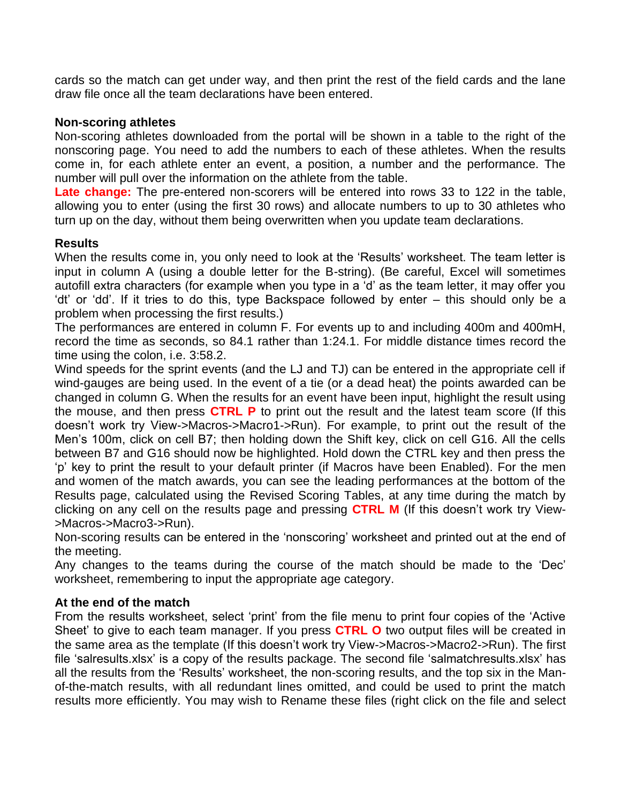cards so the match can get under way, and then print the rest of the field cards and the lane draw file once all the team declarations have been entered.

#### **Non-scoring athletes**

Non-scoring athletes downloaded from the portal will be shown in a table to the right of the nonscoring page. You need to add the numbers to each of these athletes. When the results come in, for each athlete enter an event, a position, a number and the performance. The number will pull over the information on the athlete from the table.

**Late change:** The pre-entered non-scorers will be entered into rows 33 to 122 in the table, allowing you to enter (using the first 30 rows) and allocate numbers to up to 30 athletes who turn up on the day, without them being overwritten when you update team declarations.

#### **Results**

When the results come in, you only need to look at the 'Results' worksheet. The team letter is input in column A (using a double letter for the B-string). (Be careful, Excel will sometimes autofill extra characters (for example when you type in a 'd' as the team letter, it may offer you 'dt' or 'dd'. If it tries to do this, type Backspace followed by enter – this should only be a problem when processing the first results.)

The performances are entered in column F. For events up to and including 400m and 400mH, record the time as seconds, so 84.1 rather than 1:24.1. For middle distance times record the time using the colon, i.e. 3:58.2.

Wind speeds for the sprint events (and the LJ and TJ) can be entered in the appropriate cell if wind-gauges are being used. In the event of a tie (or a dead heat) the points awarded can be changed in column G. When the results for an event have been input, highlight the result using the mouse, and then press **CTRL P** to print out the result and the latest team score (If this doesn't work try View->Macros->Macro1->Run). For example, to print out the result of the Men's 100m, click on cell B7; then holding down the Shift key, click on cell G16. All the cells between B7 and G16 should now be highlighted. Hold down the CTRL key and then press the 'p' key to print the result to your default printer (if Macros have been Enabled). For the men and women of the match awards, you can see the leading performances at the bottom of the Results page, calculated using the Revised Scoring Tables, at any time during the match by clicking on any cell on the results page and pressing **CTRL M** (If this doesn't work try View- >Macros->Macro3->Run).

Non-scoring results can be entered in the 'nonscoring' worksheet and printed out at the end of the meeting.

Any changes to the teams during the course of the match should be made to the 'Dec' worksheet, remembering to input the appropriate age category.

# **At the end of the match**

From the results worksheet, select 'print' from the file menu to print four copies of the 'Active Sheet' to give to each team manager. If you press **CTRL O** two output files will be created in the same area as the template (If this doesn't work try View->Macros->Macro2->Run). The first file 'salresults.xlsx' is a copy of the results package. The second file 'salmatchresults.xlsx' has all the results from the 'Results' worksheet, the non-scoring results, and the top six in the Manof-the-match results, with all redundant lines omitted, and could be used to print the match results more efficiently. You may wish to Rename these files (right click on the file and select